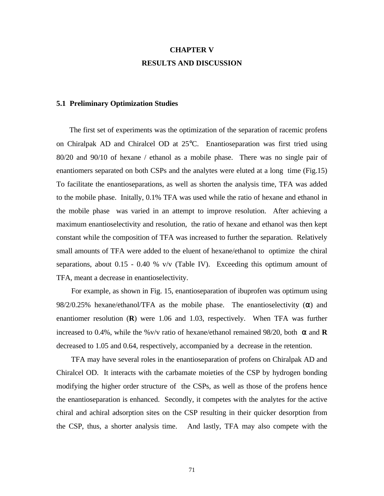## **CHAPTER V RESULTS AND DISCUSSION**

## **5.1 Preliminary Optimization Studies**

 The first set of experiments was the optimization of the separation of racemic profens on Chiralpak AD and Chiralcel OD at 25°C. Enantioseparation was first tried using 80/20 and 90/10 of hexane / ethanol as a mobile phase. There was no single pair of enantiomers separated on both CSPs and the analytes were eluted at a long time (Fig.15) To facilitate the enantioseparations, as well as shorten the analysis time, TFA was added to the mobile phase. Initally, 0.1% TFA was used while the ratio of hexane and ethanol in the mobile phase was varied in an attempt to improve resolution. After achieving a maximum enantioselectivity and resolution, the ratio of hexane and ethanol was then kept constant while the composition of TFA was increased to further the separation. Relatively small amounts of TFA were added to the eluent of hexane/ethanol to optimize the chiral separations, about  $0.15 - 0.40$  % v/v (Table IV). Exceeding this optimum amount of TFA, meant a decrease in enantioselectivity.

 For example, as shown in Fig. 15, enantioseparation of ibuprofen was optimum using 98/2/0.25% hexane/ethanol/TFA as the mobile phase. The enantioselectivity  $(\alpha)$  and enantiomer resolution (**R**) were 1.06 and 1.03, respectively. When TFA was further increased to 0.4%, while the %v/v ratio of hexane/ethanol remained 98/20, both  $\alpha$  and **R** decreased to 1.05 and 0.64, respectively, accompanied by a decrease in the retention.

 TFA may have several roles in the enantioseparation of profens on Chiralpak AD and Chiralcel OD. It interacts with the carbamate moieties of the CSP by hydrogen bonding modifying the higher order structure of the CSPs, as well as those of the profens hence the enantioseparation is enhanced. Secondly, it competes with the analytes for the active chiral and achiral adsorption sites on the CSP resulting in their quicker desorption from the CSP, thus, a shorter analysis time. And lastly, TFA may also compete with the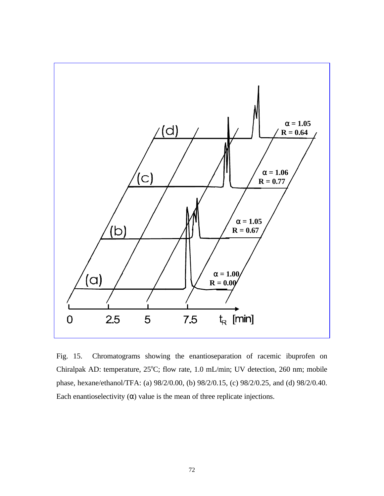

Fig. 15. Chromatograms showing the enantioseparation of racemic ibuprofen on Chiralpak AD: temperature,  $25^{\circ}$ C; flow rate, 1.0 mL/min; UV detection, 260 nm; mobile phase, hexane/ethanol/TFA: (a) 98/2/0.00, (b) 98/2/0.15, (c) 98/2/0.25, and (d) 98/2/0.40. Each enantioselectivity  $(\alpha)$  value is the mean of three replicate injections.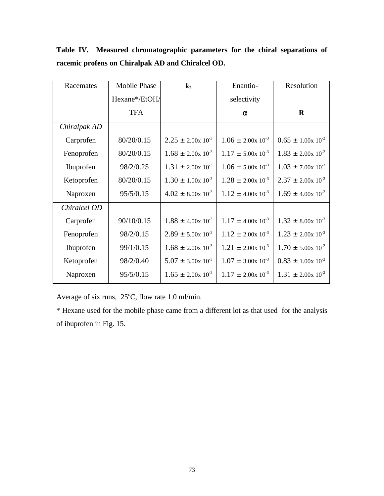| Racemates    | <b>Mobile Phase</b> | k <sub>2</sub>                 | Enantio-                       | Resolution                     |  |
|--------------|---------------------|--------------------------------|--------------------------------|--------------------------------|--|
|              | Hexane*/EtOH/       |                                | selectivity                    |                                |  |
|              | <b>TFA</b>          |                                | $\alpha$                       | $\bf{R}$                       |  |
| Chiralpak AD |                     |                                |                                |                                |  |
| Carprofen    | 80/20/0.15          | $2.25 \pm 2.00 \times 10^{-3}$ | $1.06 \pm 2.00 \times 10^{-3}$ | $0.65 \pm 1.00 \times 10^{-2}$ |  |
| Fenoprofen   | 80/20/0.15          | $1.68 \pm 2.00 \times 10^{-3}$ | $1.17 \pm 5.00 \times 10^{-3}$ | $1.83 \pm 2.00 \times 10^{-2}$ |  |
| Ibuprofen    | 98/2/0.25           | $1.31 \pm 2.00 \times 10^{-3}$ | $1.06 \pm 5.00 \times 10^{-3}$ | $1.03 \pm 7.00 \times 10^{-3}$ |  |
| Ketoprofen   | 80/20/0.15          | $1.30 \pm 1.00 \times 10^{-3}$ | $1.28 \pm 2.00 \times 10^{-3}$ | $2.37 \pm 2.00 \times 10^{-2}$ |  |
| Naproxen     | 95/5/0.15           | $4.02 \pm 8.00 \times 10^{-3}$ | $1.12 \pm 4.00 \times 10^{-3}$ | $1.69 \pm 4.00 \times 10^{-2}$ |  |
| Chiralcel OD |                     |                                |                                |                                |  |
| Carprofen    | 90/10/0.15          | $1.88 \pm 4.00 \times 10^{-3}$ | $1.17 \pm 4.00 \times 10^{-3}$ | $1.32 \pm 8.00 \times 10^{-3}$ |  |
| Fenoprofen   | 98/2/0.15           | $2.89 \pm 5.00 \times 10^{-3}$ | $1.12 \pm 2.00 \times 10^{-3}$ | $1.23 \pm 2.00 \times 10^{-3}$ |  |
| Ibuprofen    | 99/1/0.15           | $1.68 \pm 2.00 \times 10^{-3}$ | $1.21 \pm 2.00 \times 10^{-3}$ | $1.70 \pm 5.00 \times 10^{-2}$ |  |
| Ketoprofen   | 98/2/0.40           | $5.07 \pm 3.00 \times 10^{-3}$ | $1.07 \pm 3.00 \times 10^{-3}$ | $0.83 \pm 1.00 \times 10^{-2}$ |  |
| Naproxen     | 95/5/0.15           | $1.65 \pm 2.00 \times 10^{-3}$ | $1.17 \pm 2.00 \times 10^{-3}$ | $1.31 \pm 2.00 \times 10^{-2}$ |  |

**Table IV. Measured chromatographic parameters for the chiral separations of racemic profens on Chiralpak AD and Chiralcel OD.**

Average of six runs,  $25^{\circ}$ C, flow rate 1.0 ml/min.

\* Hexane used for the mobile phase came from a different lot as that used for the analysis of ibuprofen in Fig. 15.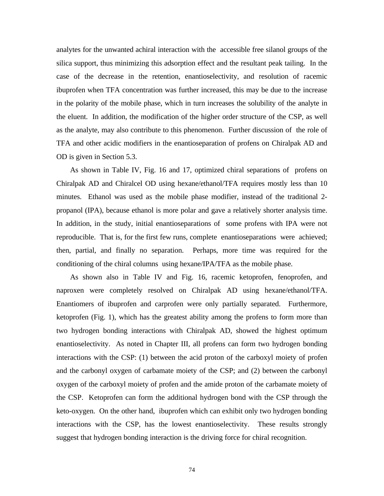analytes for the unwanted achiral interaction with the accessible free silanol groups of the silica support, thus minimizing this adsorption effect and the resultant peak tailing. In the case of the decrease in the retention, enantioselectivity, and resolution of racemic ibuprofen when TFA concentration was further increased, this may be due to the increase in the polarity of the mobile phase, which in turn increases the solubility of the analyte in the eluent. In addition, the modification of the higher order structure of the CSP, as well as the analyte, may also contribute to this phenomenon. Further discussion of the role of TFA and other acidic modifiers in the enantioseparation of profens on Chiralpak AD and OD is given in Section 5.3.

 As shown in Table IV, Fig. 16 and 17, optimized chiral separations of profens on Chiralpak AD and Chiralcel OD using hexane/ethanol/TFA requires mostly less than 10 minutes. Ethanol was used as the mobile phase modifier, instead of the traditional 2 propanol (IPA), because ethanol is more polar and gave a relatively shorter analysis time. In addition, in the study, initial enantioseparations of some profens with IPA were not reproducible. That is, for the first few runs, complete enantioseparations were achieved; then, partial, and finally no separation. Perhaps, more time was required for the conditioning of the chiral columns using hexane/IPA/TFA as the mobile phase.

 As shown also in Table IV and Fig. 16, racemic ketoprofen, fenoprofen, and naproxen were completely resolved on Chiralpak AD using hexane/ethanol/TFA. Enantiomers of ibuprofen and carprofen were only partially separated. Furthermore, ketoprofen (Fig. 1), which has the greatest ability among the profens to form more than two hydrogen bonding interactions with Chiralpak AD, showed the highest optimum enantioselectivity. As noted in Chapter III, all profens can form two hydrogen bonding interactions with the CSP: (1) between the acid proton of the carboxyl moiety of profen and the carbonyl oxygen of carbamate moiety of the CSP; and (2) between the carbonyl oxygen of the carboxyl moiety of profen and the amide proton of the carbamate moiety of the CSP. Ketoprofen can form the additional hydrogen bond with the CSP through the keto-oxygen. On the other hand, ibuprofen which can exhibit only two hydrogen bonding interactions with the CSP, has the lowest enantioselectivity. These results strongly suggest that hydrogen bonding interaction is the driving force for chiral recognition.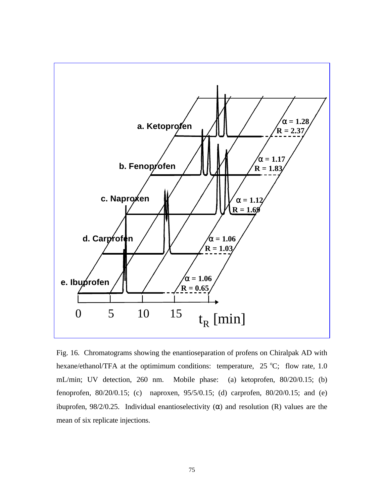

Fig. 16. Chromatograms showing the enantioseparation of profens on Chiralpak AD with hexane/ethanol/TFA at the optimimum conditions: temperature,  $25^{\circ}$ C; flow rate, 1.0 mL/min; UV detection, 260 nm. Mobile phase: (a) ketoprofen, 80/20/0.15; (b) fenoprofen, 80/20/0.15; (c) naproxen, 95/5/0.15; (d) carprofen, 80/20/0.15; and (e) ibuprofen, 98/2/0.25. Individual enantioselectivity (α) and resolution (R) values are the mean of six replicate injections.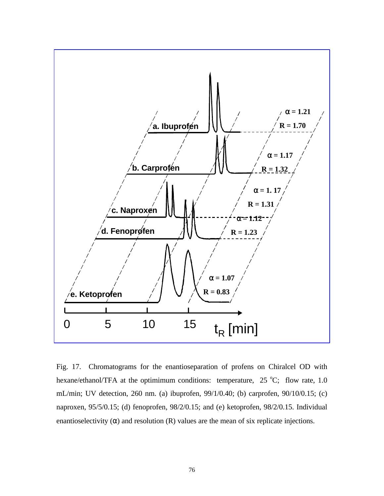

Fig. 17. Chromatograms for the enantioseparation of profens on Chiralcel OD with hexane/ethanol/TFA at the optimimum conditions: temperature,  $25^{\circ}$ C; flow rate, 1.0 mL/min; UV detection, 260 nm. (a) ibuprofen, 99/1/0.40; (b) carprofen, 90/10/0.15; (c) naproxen, 95/5/0.15; (d) fenoprofen, 98/2/0.15; and (e) ketoprofen, 98/2/0.15. Individual enantioselectivity  $(\alpha)$  and resolution  $(R)$  values are the mean of six replicate injections.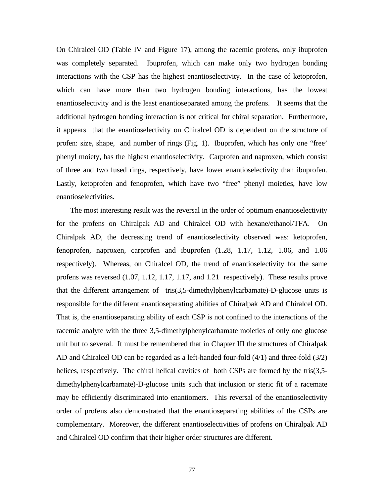On Chiralcel OD (Table IV and Figure 17), among the racemic profens, only ibuprofen was completely separated. Ibuprofen, which can make only two hydrogen bonding interactions with the CSP has the highest enantioselectivity. In the case of ketoprofen, which can have more than two hydrogen bonding interactions, has the lowest enantioselectivity and is the least enantioseparated among the profens. It seems that the additional hydrogen bonding interaction is not critical for chiral separation. Furthermore, it appears that the enantioselectivity on Chiralcel OD is dependent on the structure of profen: size, shape, and number of rings (Fig. 1). Ibuprofen, which has only one "free' phenyl moiety, has the highest enantioselectivity. Carprofen and naproxen, which consist of three and two fused rings, respectively, have lower enantioselectivity than ibuprofen. Lastly, ketoprofen and fenoprofen, which have two "free" phenyl moieties, have low enantioselectivities.

 The most interesting result was the reversal in the order of optimum enantioselectivity for the profens on Chiralpak AD and Chiralcel OD with hexane/ethanol/TFA. On Chiralpak AD, the decreasing trend of enantioselectivity observed was: ketoprofen, fenoprofen, naproxen, carprofen and ibuprofen (1.28, 1.17, 1.12, 1.06, and 1.06 respectively). Whereas, on Chiralcel OD, the trend of enantioselectivity for the same profens was reversed (1.07, 1.12, 1.17, 1.17, and 1.21 respectively). These results prove that the different arrangement of tris(3,5-dimethylphenylcarbamate)-D-glucose units is responsible for the different enantioseparating abilities of Chiralpak AD and Chiralcel OD. That is, the enantioseparating ability of each CSP is not confined to the interactions of the racemic analyte with the three 3,5-dimethylphenylcarbamate moieties of only one glucose unit but to several. It must be remembered that in Chapter III the structures of Chiralpak AD and Chiralcel OD can be regarded as a left-handed four-fold (4/1) and three-fold (3/2) helices, respectively. The chiral helical cavities of both CSPs are formed by the tris(3,5dimethylphenylcarbamate)-D-glucose units such that inclusion or steric fit of a racemate may be efficiently discriminated into enantiomers. This reversal of the enantioselectivity order of profens also demonstrated that the enantioseparating abilities of the CSPs are complementary. Moreover, the different enantioselectivities of profens on Chiralpak AD and Chiralcel OD confirm that their higher order structures are different.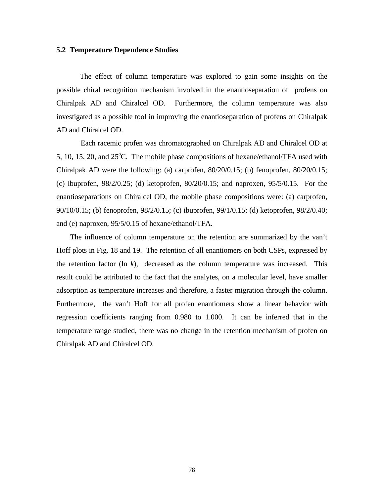## **5.2 Temperature Dependence Studies**

 The effect of column temperature was explored to gain some insights on the possible chiral recognition mechanism involved in the enantioseparation of profens on Chiralpak AD and Chiralcel OD. Furthermore, the column temperature was also investigated as a possible tool in improving the enantioseparation of profens on Chiralpak AD and Chiralcel OD.

 Each racemic profen was chromatographed on Chiralpak AD and Chiralcel OD at 5, 10, 15, 20, and  $25^{\circ}$ C. The mobile phase compositions of hexane/ethanol/TFA used with Chiralpak AD were the following: (a) carprofen, 80/20/0.15; (b) fenoprofen, 80/20/0.15; (c) ibuprofen,  $98/2/0.25$ ; (d) ketoprofen,  $80/20/0.15$ ; and naproxen,  $95/5/0.15$ . For the enantioseparations on Chiralcel OD, the mobile phase compositions were: (a) carprofen, 90/10/0.15; (b) fenoprofen, 98/2/0.15; (c) ibuprofen, 99/1/0.15; (d) ketoprofen, 98/2/0.40; and (e) naproxen, 95/5/0.15 of hexane/ethanol/TFA.

 The influence of column temperature on the retention are summarized by the van't Hoff plots in Fig. 18 and 19. The retention of all enantiomers on both CSPs, expressed by the retention factor (ln *k*), decreased as the column temperature was increased. This result could be attributed to the fact that the analytes, on a molecular level, have smaller adsorption as temperature increases and therefore, a faster migration through the column. Furthermore, the van't Hoff for all profen enantiomers show a linear behavior with regression coefficients ranging from 0.980 to 1.000. It can be inferred that in the temperature range studied, there was no change in the retention mechanism of profen on Chiralpak AD and Chiralcel OD.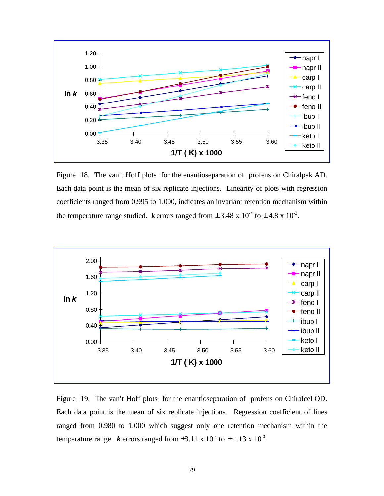

Figure 18. The van't Hoff plots for the enantioseparation of profens on Chiralpak AD. Each data point is the mean of six replicate injections. Linearity of plots with regression coefficients ranged from 0.995 to 1.000, indicates an invariant retention mechanism within the temperature range studied. *k* errors ranged from  $\pm 3.48 \times 10^{-4}$  to  $\pm 4.8 \times 10^{-3}$ .



Figure 19. The van't Hoff plots for the enantioseparation of profens on Chiralcel OD. Each data point is the mean of six replicate injections. Regression coefficient of lines ranged from 0.980 to 1.000 which suggest only one retention mechanism within the temperature range.  $k$  errors ranged from  $\pm 3.11 \times 10^{-4}$  to  $\pm 1.13 \times 10^{-3}$ .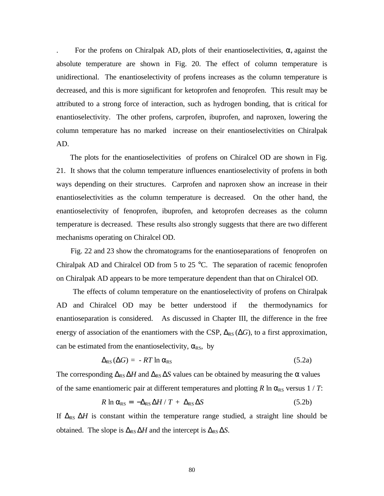For the profens on Chiralpak AD, plots of their enantioselectivities,  $\alpha$ , against the absolute temperature are shown in Fig. 20. The effect of column temperature is unidirectional. The enantioselectivity of profens increases as the column temperature is decreased, and this is more significant for ketoprofen and fenoprofen. This result may be attributed to a strong force of interaction, such as hydrogen bonding, that is critical for enantioselectivity. The other profens, carprofen, ibuprofen, and naproxen, lowering the column temperature has no marked increase on their enantioselectivities on Chiralpak AD.

 The plots for the enantioselectivities of profens on Chiralcel OD are shown in Fig. 21. It shows that the column temperature influences enantioselectivity of profens in both ways depending on their structures. Carprofen and naproxen show an increase in their enantioselectivities as the column temperature is decreased. On the other hand, the enantioselectivity of fenoprofen, ibuprofen, and ketoprofen decreases as the column temperature is decreased. These results also strongly suggests that there are two different mechanisms operating on Chiralcel OD.

 Fig. 22 and 23 show the chromatograms for the enantioseparations of fenoprofen on Chiralpak AD and Chiralcel OD from 5 to 25  $^{\circ}$ C. The separation of racemic fenoprofen on Chiralpak AD appears to be more temperature dependent than that on Chiralcel OD.

 The effects of column temperature on the enantioselectivity of profens on Chiralpak AD and Chiralcel OD may be better understood if the thermodynamics for enantioseparation is considered. As discussed in Chapter III, the difference in the free energy of association of the enantiomers with the CSP,  $\Delta_{RS}(\Delta G)$ , to a first approximation, can be estimated from the enantioselectivity,  $\alpha_{RS}$ , by

$$
\Delta_{RS}(\Delta G) = -RT \ln \alpha_{RS} \tag{5.2a}
$$

The corresponding  $\Delta_{RS} \Delta H$  and  $\Delta_{RS} \Delta S$  values can be obtained by measuring the  $\alpha$  values of the same enantiomeric pair at different temperatures and plotting *R* ln  $\alpha_{RS}$  versus 1 / *T*:

$$
R \ln \alpha_{\rm RS} = -\Delta_{\rm RS} \Delta H / T + \Delta_{\rm RS} \Delta S \tag{5.2b}
$$

If  $\Delta_{RS} \Delta H$  is constant within the temperature range studied, a straight line should be obtained. The slope is  $\Delta_{RS} \Delta H$  and the intercept is  $\Delta_{RS} \Delta S$ .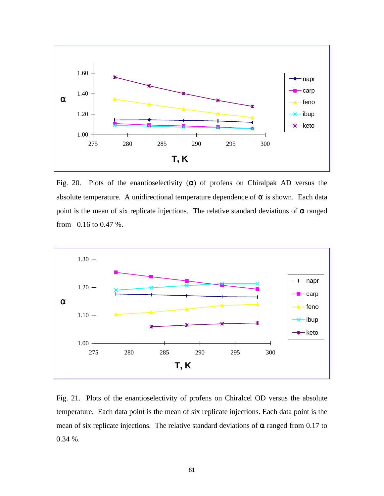

Fig. 20. Plots of the enantioselectivity  $(\alpha)$  of profens on Chiralpak AD versus the absolute temperature. A unidirectional temperature dependence of  $\alpha$  is shown. Each data point is the mean of six replicate injections. The relative standard deviations of  $\alpha$  ranged from 0.16 to 0.47 %.



Fig. 21. Plots of the enantioselectivity of profens on Chiralcel OD versus the absolute temperature. Each data point is the mean of six replicate injections. Each data point is the mean of six replicate injections. The relative standard deviations of  $\alpha$  ranged from 0.17 to 0.34 %.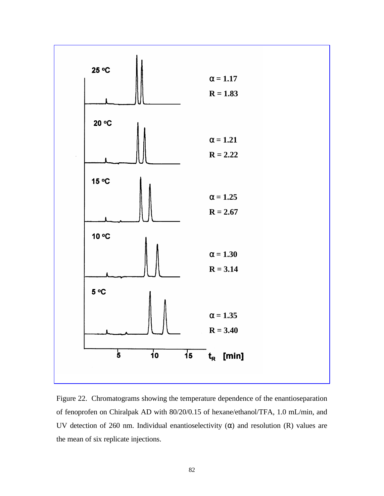

Figure 22. Chromatograms showing the temperature dependence of the enantioseparation of fenoprofen on Chiralpak AD with 80/20/0.15 of hexane/ethanol/TFA, 1.0 mL/min, and UV detection of 260 nm. Individual enantioselectivity  $(\alpha)$  and resolution (R) values are the mean of six replicate injections.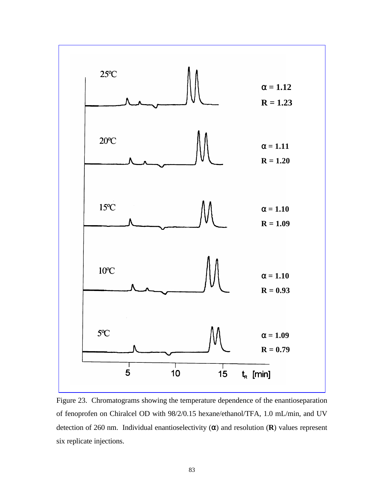

Figure 23. Chromatograms showing the temperature dependence of the enantioseparation of fenoprofen on Chiralcel OD with 98/2/0.15 hexane/ethanol/TFA, 1.0 mL/min, and UV detection of 260 nm. Individual enantioselectivity (α) and resolution (**R**) values represent six replicate injections.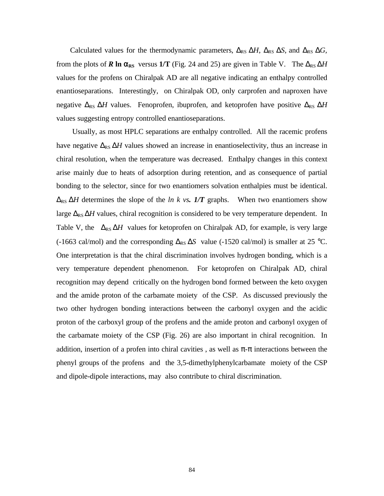Calculated values for the thermodynamic parameters,  $\Delta_{RS} \Delta H$ ,  $\Delta_{RS} \Delta S$ , and  $\Delta_{RS} \Delta G$ , from the plots of **R** ln  $\alpha_{RS}$  versus 1/T (Fig. 24 and 25) are given in Table V. The  $\Delta_{RS} \Delta H$ values for the profens on Chiralpak AD are all negative indicating an enthalpy controlled enantioseparations. Interestingly, on Chiralpak OD, only carprofen and naproxen have negative  $\Delta_{RS} \Delta H$  values. Fenoprofen, ibuprofen, and ketoprofen have positive  $\Delta_{RS} \Delta H$ values suggesting entropy controlled enantioseparations.

 Usually, as most HPLC separations are enthalpy controlled. All the racemic profens have negative  $\Delta_{RS} \Delta H$  values showed an increase in enantioselectivity, thus an increase in chiral resolution, when the temperature was decreased. Enthalpy changes in this context arise mainly due to heats of adsorption during retention, and as consequence of partial bonding to the selector, since for two enantiomers solvation enthalpies must be identical.  $\Delta_{RS} \Delta H$  determines the slope of the *ln k vs.* 1/T graphs. When two enantiomers show large  $\Delta_{RS} \Delta H$  values, chiral recognition is considered to be very temperature dependent. In Table V, the  $\Delta_{RS} \Delta H$  values for ketoprofen on Chiralpak AD, for example, is very large (-1663 cal/mol) and the corresponding  $\Delta_{RS} \Delta S$  value (-1520 cal/mol) is smaller at 25 °C. One interpretation is that the chiral discrimination involves hydrogen bonding, which is a very temperature dependent phenomenon. For ketoprofen on Chiralpak AD, chiral recognition may depend critically on the hydrogen bond formed between the keto oxygen and the amide proton of the carbamate moiety of the CSP. As discussed previously the two other hydrogen bonding interactions between the carbonyl oxygen and the acidic proton of the carboxyl group of the profens and the amide proton and carbonyl oxygen of the carbamate moiety of the CSP (Fig. 26) are also important in chiral recognition. In addition, insertion of a profen into chiral cavities, as well as  $\pi$ - $\pi$  interactions between the phenyl groups of the profens and the 3,5-dimethylphenylcarbamate moiety of the CSP and dipole-dipole interactions, may also contribute to chiral discrimination.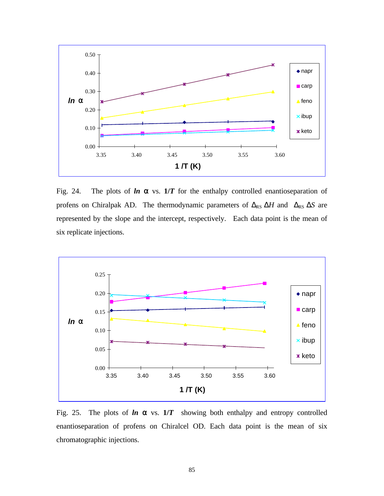

Fig. 24. The plots of  $ln \alpha$  vs.  $1/T$  for the enthalpy controlled enantioseparation of profens on Chiralpak AD. The thermodynamic parameters of  $\Delta_{RS} \Delta H$  and  $\Delta_{RS} \Delta S$  are represented by the slope and the intercept, respectively. Each data point is the mean of six replicate injections.



Fig. 25. The plots of  $\ln \alpha$  vs.  $1/T$  showing both enthalpy and entropy controlled enantioseparation of profens on Chiralcel OD. Each data point is the mean of six chromatographic injections.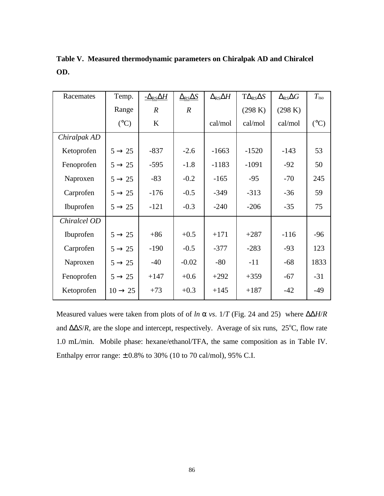| Racemates    | Temp.               | $-\Delta$ <sub>RS</sub> $\Delta H$ | $\Delta$ <sub>RS</sub> $\Delta$ S | $\Delta$ <sub>RS</sub> $\Delta H$ | $T\Delta_{\rm RS}\Delta S$ | $\Delta_{\rm RS}\Delta G$ | $T_{\rm iso}$   |
|--------------|---------------------|------------------------------------|-----------------------------------|-----------------------------------|----------------------------|---------------------------|-----------------|
|              | Range               | $\overline{R}$                     | $\boldsymbol{R}$                  |                                   | (298 K)                    | (298 K)                   |                 |
|              | $({}^{\circ}C)$     | $\bf K$                            |                                   | cal/mol                           | cal/mol                    | cal/mol                   | $({}^{\circ}C)$ |
| Chiralpak AD |                     |                                    |                                   |                                   |                            |                           |                 |
| Ketoprofen   | $5 \rightarrow 25$  | $-837$                             | $-2.6$                            | $-1663$                           | $-1520$                    | $-143$                    | 53              |
| Fenoprofen   | $5 \rightarrow 25$  | $-595$                             | $-1.8$                            | $-1183$                           | $-1091$                    | $-92$                     | 50              |
| Naproxen     | $5 \rightarrow 25$  | $-83$                              | $-0.2$                            | $-165$                            | $-95$                      | $-70$                     | 245             |
| Carprofen    | $5 \rightarrow 25$  | $-176$                             | $-0.5$                            | $-349$                            | $-313$                     | $-36$                     | 59              |
| Ibuprofen    | $5 \rightarrow 25$  | $-121$                             | $-0.3$                            | $-240$                            | $-206$                     | $-35$                     | 75              |
| Chiralcel OD |                     |                                    |                                   |                                   |                            |                           |                 |
| Ibuprofen    | $5 \rightarrow 25$  | $+86$                              | $+0.5$                            | $+171$                            | $+287$                     | $-116$                    | $-96$           |
| Carprofen    | $5 \rightarrow 25$  | $-190$                             | $-0.5$                            | $-377$                            | $-283$                     | $-93$                     | 123             |
| Naproxen     | $5 \rightarrow 25$  | $-40$                              | $-0.02$                           | $-80$                             | $-11$                      | $-68$                     | 1833            |
| Fenoprofen   | $5 \rightarrow 25$  | $+147$                             | $+0.6$                            | $+292$                            | $+359$                     | $-67$                     | $-31$           |
| Ketoprofen   | $10 \rightarrow 25$ | $+73$                              | $+0.3$                            | $+145$                            | $+187$                     | $-42$                     | $-49$           |

**Table V. Measured thermodynamic parameters on Chiralpak AD and Chiralcel OD.**

Measured values were taken from plots of of *ln* α *vs*. 1/*T* (Fig. 24 and 25) where ΔΔ*H*/*R* and  $\Delta\Delta S/R$ , are the slope and intercept, respectively. Average of six runs, 25°C, flow rate 1.0 mL/min. Mobile phase: hexane/ethanol/TFA, the same composition as in Table IV. Enthalpy error range:  $\pm$  0.8% to 30% (10 to 70 cal/mol), 95% C.I.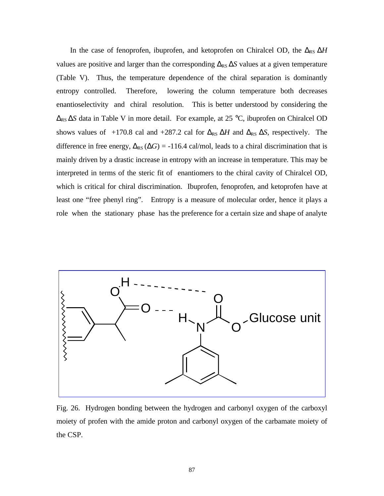In the case of fenoprofen, ibuprofen, and ketoprofen on Chiralcel OD, the Δ<sub>RS</sub> ΔH values are positive and larger than the corresponding  $\Delta_{RS} \Delta S$  values at a given temperature (Table V). Thus, the temperature dependence of the chiral separation is dominantly entropy controlled. Therefore, lowering the column temperature both decreases enantioselectivity and chiral resolution. This is better understood by considering the ΔRS Δ*S* data in Table V in more detail. For example, at 25 °C, ibuprofen on Chiralcel OD shows values of +170.8 cal and +287.2 cal for  $\Delta_{RS} \Delta H$  and  $\Delta_{RS} \Delta S$ , respectively. The difference in free energy,  $\Delta_{RS}(\Delta G) = -116.4$  cal/mol, leads to a chiral discrimination that is mainly driven by a drastic increase in entropy with an increase in temperature. This may be interpreted in terms of the steric fit of enantiomers to the chiral cavity of Chiralcel OD, which is critical for chiral discrimination. Ibuprofen, fenoprofen, and ketoprofen have at least one "free phenyl ring". Entropy is a measure of molecular order, hence it plays a role when the stationary phase has the preference for a certain size and shape of analyte



Fig. 26. Hydrogen bonding between the hydrogen and carbonyl oxygen of the carboxyl moiety of profen with the amide proton and carbonyl oxygen of the carbamate moiety of the CSP.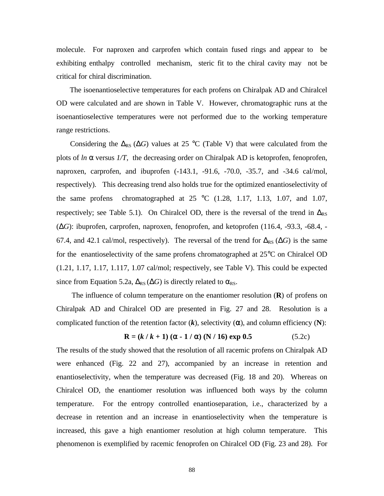molecule. For naproxen and carprofen which contain fused rings and appear to be exhibiting enthalpy controlled mechanism, steric fit to the chiral cavity may not be critical for chiral discrimination.

 The isoenantioselective temperatures for each profens on Chiralpak AD and Chiralcel OD were calculated and are shown in Table V. However, chromatographic runs at the isoenantioselective temperatures were not performed due to the working temperature range restrictions.

Considering the  $\Delta_{RS}$  ( $\Delta G$ ) values at 25 °C (Table V) that were calculated from the plots of *ln a* versus *1/T*, the decreasing order on Chiralpak AD is ketoprofen, fenoprofen, naproxen, carprofen, and ibuprofen (-143.1, -91.6, -70.0, -35.7, and -34.6 cal/mol, respectively). This decreasing trend also holds true for the optimized enantioselectivity of the same profens chromatographed at  $25 \text{ °C}$  (1.28, 1.17, 1.13, 1.07, and 1.07, respectively; see Table 5.1). On Chiralcel OD, there is the reversal of the trend in  $\Delta_{RS}$ (Δ*G*): ibuprofen, carprofen, naproxen, fenoprofen, and ketoprofen (116.4, -93.3, -68.4, - 67.4, and 42.1 cal/mol, respectively). The reversal of the trend for  $\Delta_{RS}(\Delta G)$  is the same for the enantioselectivity of the same profens chromatographed at 25°C on Chiralcel OD (1.21, 1.17, 1.17, 1.117, 1.07 cal/mol; respectively, see Table V). This could be expected since from Equation 5.2a,  $\Delta_{RS}(\Delta G)$  is directly related to  $\alpha_{RS}$ .

 The influence of column temperature on the enantiomer resolution (**R**) of profens on Chiralpak AD and Chiralcel OD are presented in Fig. 27 and 28. Resolution is a complicated function of the retention factor  $(k)$ , selectivity  $(\alpha)$ , and column efficiency  $(N)$ :

$$
R = (k / k + 1) (\alpha - 1 / \alpha) (N / 16) exp 0.5
$$
 (5.2c)

The results of the study showed that the resolution of all racemic profens on Chiralpak AD were enhanced (Fig. 22 and 27), accompanied by an increase in retention and enantioselectivity, when the temperature was decreased (Fig. 18 and 20). Whereas on Chiralcel OD, the enantiomer resolution was influenced both ways by the column temperature. For the entropy controlled enantioseparation, i.e., characterized by a decrease in retention and an increase in enantioselectivity when the temperature is increased, this gave a high enantiomer resolution at high column temperature. This phenomenon is exemplified by racemic fenoprofen on Chiralcel OD (Fig. 23 and 28). For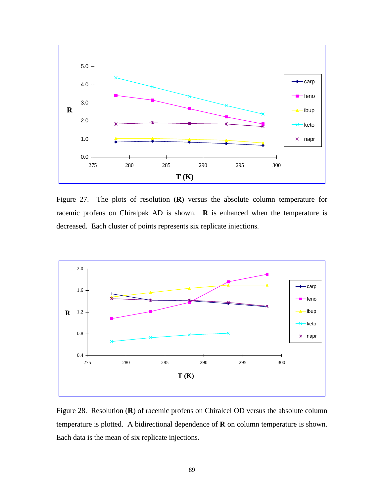

Figure 27. The plots of resolution (**R**) versus the absolute column temperature for racemic profens on Chiralpak AD is shown. **R** is enhanced when the temperature is decreased. Each cluster of points represents six replicate injections.



Figure 28. Resolution (**R**) of racemic profens on Chiralcel OD versus the absolute column temperature is plotted. A bidirectional dependence of **R** on column temperature is shown. Each data is the mean of six replicate injections.